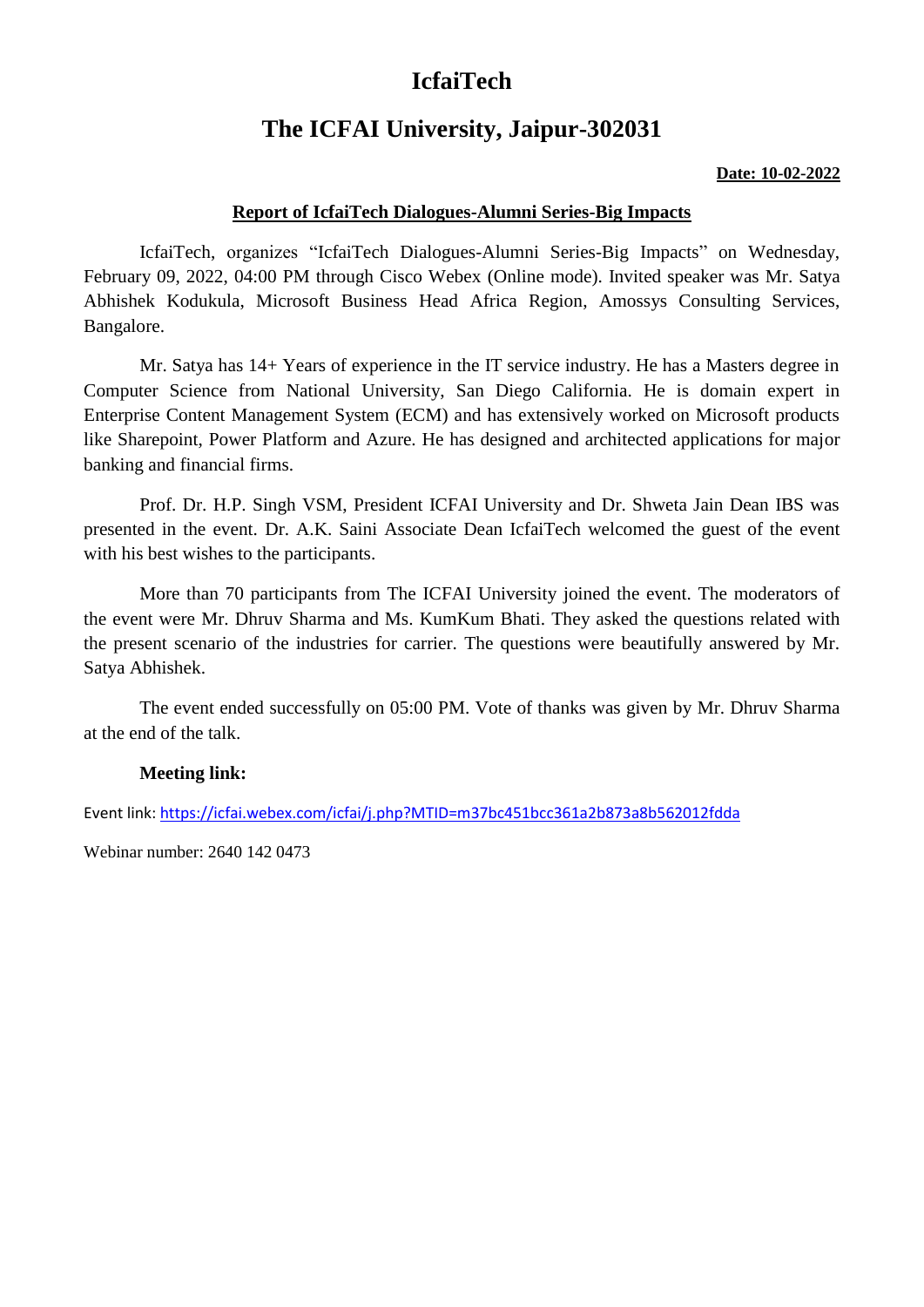# **IcfaiTech**

## **The ICFAI University, Jaipur-302031**

#### **Date: 10-02-2022**

### **Report of IcfaiTech Dialogues-Alumni Series-Big Impacts**

IcfaiTech, organizes "IcfaiTech Dialogues-Alumni Series-Big Impacts" on Wednesday, February 09, 2022, 04:00 PM through Cisco Webex (Online mode). Invited speaker was Mr. Satya Abhishek Kodukula, Microsoft Business Head Africa Region, Amossys Consulting Services, Bangalore.

Mr. Satya has 14+ Years of experience in the IT service industry. He has a Masters degree in Computer Science from National University, San Diego California. He is domain expert in Enterprise Content Management System (ECM) and has extensively worked on Microsoft products like Sharepoint, Power Platform and Azure. He has designed and architected applications for major banking and financial firms.

Prof. Dr. H.P. Singh VSM, President ICFAI University and Dr. Shweta Jain Dean IBS was presented in the event. Dr. A.K. Saini Associate Dean IcfaiTech welcomed the guest of the event with his best wishes to the participants.

More than 70 participants from The ICFAI University joined the event. The moderators of the event were Mr. Dhruv Sharma and Ms. KumKum Bhati. They asked the questions related with the present scenario of the industries for carrier. The questions were beautifully answered by Mr. Satya Abhishek.

The event ended successfully on 05:00 PM. Vote of thanks was given by Mr. Dhruv Sharma at the end of the talk.

#### **Meeting link:**

Event link:<https://icfai.webex.com/icfai/j.php?MTID=m37bc451bcc361a2b873a8b562012fdda>

Webinar number: 2640 142 0473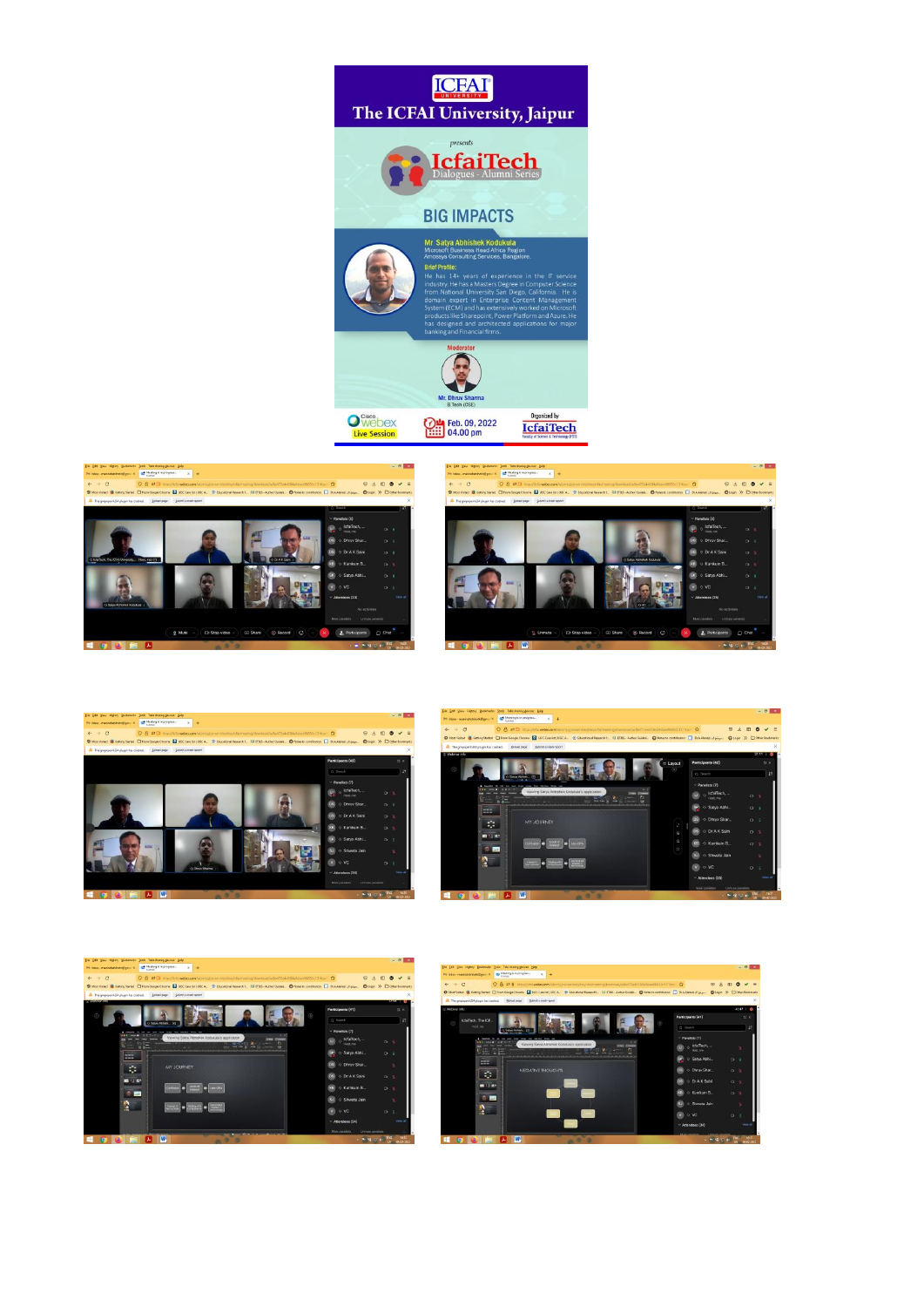